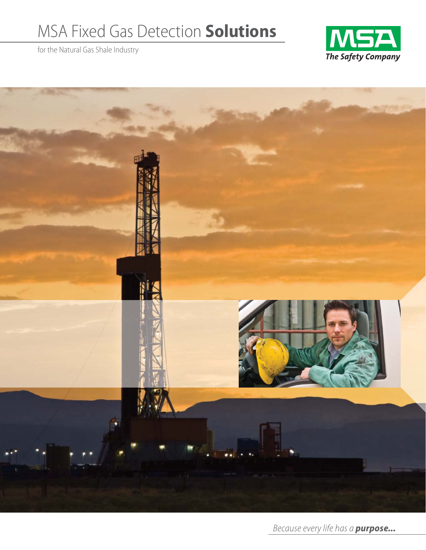# MSA Fixed Gas Detection **Solutions**

for the Natural Gas Shale Industry





Because every life has a *purpose...*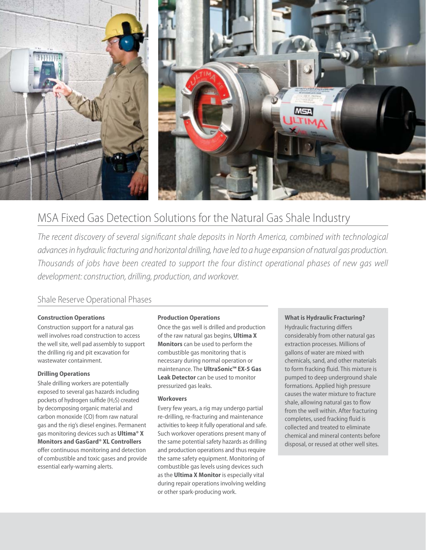

# MSA Fixed Gas Detection Solutions for the Natural Gas Shale Industry

The recent discovery of several significant shale deposits in North America, combined with technological advances in hydraulic fracturing and horizontal drilling, have led to a huge expansion of natural gas production. Thousands of jobs have been created to support the four distinct operational phases of new gas well development: construction, drilling, production, and workover.

## Shale Reserve Operational Phases

#### **Construction Operations**

Construction support for a natural gas well involves road construction to access the well site, well pad assembly to support the drilling rig and pit excavation for wastewater containment.

#### **Drilling Operations**

Shale drilling workers are potentially exposed to several gas hazards including pockets of hydrogen sulfide (H2S) created by decomposing organic material and carbon monoxide (CO) from raw natural gas and the rig's diesel engines. Permanent gas monitoring devices such as **Ultima® X Monitors and GasGard® XL Controllers** offer continuous monitoring and detection of combustible and toxic gases and provide essential early-warning alerts.

#### **Production Operations**

Once the gas well is drilled and production of the raw natural gas begins, **Ultima X Monitors** can be used to perform the combustible gas monitoring that is necessary during normal operation or maintenance. The **UltraSonic™ EX-5 Gas Leak Detector** can be used to monitor pressurized gas leaks.

#### **Workovers**

Every few years, a rig may undergo partial re-drilling, re-fracturing and maintenance activities to keep it fully operational and safe. Such workover operations present many of the same potential safety hazards as drilling and production operations and thus require the same safety equipment. Monitoring of combustible gas levels using devices such as the **Ultima X Monitor** is especially vital during repair operations involving welding or other spark-producing work.

#### **What is Hydraulic Fracturing?**

Hydraulic fracturing differs considerably from other natural gas extraction processes. Millions of gallons of water are mixed with chemicals, sand, and other materials to form fracking fluid. This mixture is pumped to deep underground shale formations. Applied high pressure causes the water mixture to fracture shale, allowing natural gas to flow from the well within. After fracturing completes, used fracking fluid is collected and treated to eliminate chemical and mineral contents before disposal, or reused at other well sites.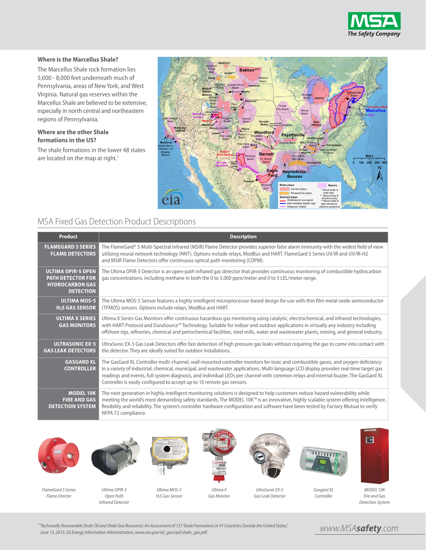

#### **Where is the Marcellus Shale?**

The Marcellus Shale rock formation lies 5,000 - 8,000 feet underneath much of Pennsylvania, areas of New York, and West Virginia. Natural gas reserves within the Marcellus Shale are believed to be extensive, especially in north central and northeastern regions of Pennsylvania.

#### **Where are the other Shale formations in the US?**

The shale formations in the lower 48 states are located on the map at right.<sup>1</sup>



### MSA Fixed Gas Detection Product Descriptions

| <b>Product</b>                                                                                      | <b>Description</b>                                                                                                                                                                                                                                                                                                                                                                                                                                                                         |
|-----------------------------------------------------------------------------------------------------|--------------------------------------------------------------------------------------------------------------------------------------------------------------------------------------------------------------------------------------------------------------------------------------------------------------------------------------------------------------------------------------------------------------------------------------------------------------------------------------------|
| <b>FLAMEGARD 5 SERIES</b><br><b>FLAME DETECTORS</b>                                                 | The FlameGard® 5 Multi-Spectral Infrared (MSIR) Flame Detector provides superior false alarm immunity with the widest field of view<br>utilizing neural network technology (NNT). Options include relays, ModBus and HART. FlameGard 5 Series UV/IR and UV/IR-H2<br>and MSIR Flame Detectors offer continuous optical path monitoring (COPM).                                                                                                                                              |
| <b>ULTIMA OPIR-5 OPEN</b><br><b>PATH DETECTOR FOR</b><br><b>HYDROCARBON GAS</b><br><b>DETECTION</b> | The Ultima OPIR-5 Detector is an open-path infrared gas detector that provides continuous monitoring of combustible hydrocarbon<br>gas concentrations, including methane in both the 0 to 5,000 ppm/meter and 0 to 5 LEL/meter range.                                                                                                                                                                                                                                                      |
| <b>ULTIMA MOS-5</b><br>H <sub>2</sub> S GAS SENSOR                                                  | The Ultima MOS-5 Sensor features a highly intelligent microprocessor-based design for use with thin film metal oxide semiconductor<br>(TFMOS) sensors. Options include relays, ModBus and HART.                                                                                                                                                                                                                                                                                            |
| <b>ULTIMA X SERIES</b><br><b>GAS MONITORS</b>                                                       | Ultima X Series Gas Monitors offer continuous hazardous gas monitoring using catalytic, electrochemical, and infrared technologies,<br>with HART Protocol and DuraSource™ Technology. Suitable for indoor and outdoor applications in virtually any industry including<br>offshore rigs, refineries, chemical and petrochemical facilities, steel mills, water and wastewater plants, mining, and general industry.                                                                        |
| <b>ULTRASONIC EX-5</b><br><b>GAS LEAK DETECTORS</b>                                                 | UltraSonic EX-5 Gas Leak Detectors offer fast detection of high pressure gas leaks without requiring the gas to come into contact with<br>the detector. They are ideally suited for outdoor installations.                                                                                                                                                                                                                                                                                 |
| <b>GASGARD XL</b><br><b>CONTROLLER</b>                                                              | The GasGard XL Controller multi-channel, wall-mounted controller monitors for toxic and combustible gases, and oxygen deficiency<br>in a variety of industrial, chemical, municipal, and wastewater applications. Multi-language LCD display provides real-time target gas<br>readings and events, full system diagnosis, and individual LEDs per channel with common relays and internal buzzer. The GasGard XL<br>Controller is easily configured to accept up to 10 remote gas sensors. |
| <b>MODEL 10K</b><br><b>FIRE AND GAS</b><br><b>DETECTION SYSTEM</b>                                  | The next generation in highly intelligent monitoring solutions is designed to help customers reduce hazard vulnerability while<br>meeting the world's most demanding safety standards. The MODEL 10K™ is an innovative, highly scalable system offering intelligence,<br>flexibility and reliability. The system's controller hardware configuration and software have been tested by Factory Mutual to verify<br>NFPA 72 compliance.                                                      |





*FlameGard 5 Series Flame Dtector*

*Ultima OPIR-5 Open Path Infrared Detector*

*Ultima MOS-5 H2S Gas Sensor*



*Ultima X Gas Monitor*



*UltraSonic EX-5 Gas Leak Detector*



*Gasgard XL Controller*



*MODEL 10K Fire and Gas Detection System*

*¹ "Technically Recoverable Shale Oil and Shale Gas Resources: An Assessment of 137 Shale Formations in 41 Countries Outside the United States," June 13, 2013, US Energy Information Administration, www.eia.gov/oil\_gas/rpd/shale\_gas.pdf.*

www.MSA*safety*.com